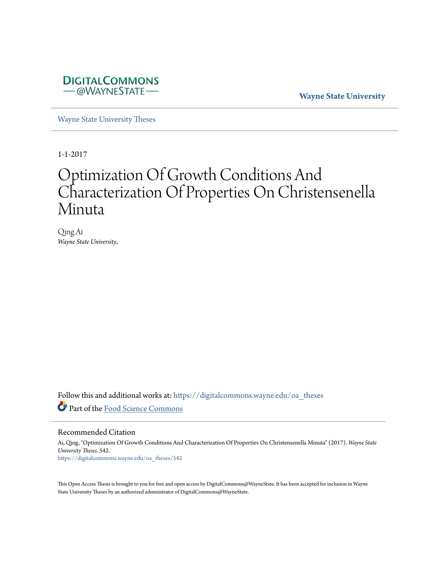

**Wayne State University**

[Wayne State University Theses](https://digitalcommons.wayne.edu/oa_theses?utm_source=digitalcommons.wayne.edu%2Foa_theses%2F542&utm_medium=PDF&utm_campaign=PDFCoverPages)

1-1-2017

# Optimization Of Growth Conditions And Characterization Of Properties On Christensenella Minuta

Qing Ai *Wayne State University*,

Follow this and additional works at: [https://digitalcommons.wayne.edu/oa\\_theses](https://digitalcommons.wayne.edu/oa_theses?utm_source=digitalcommons.wayne.edu%2Foa_theses%2F542&utm_medium=PDF&utm_campaign=PDFCoverPages) Part of the [Food Science Commons](http://network.bepress.com/hgg/discipline/84?utm_source=digitalcommons.wayne.edu%2Foa_theses%2F542&utm_medium=PDF&utm_campaign=PDFCoverPages)

Recommended Citation

Ai, Qing, "Optimization Of Growth Conditions And Characterization Of Properties On Christensenella Minuta" (2017). *Wayne State University Theses*. 542. [https://digitalcommons.wayne.edu/oa\\_theses/542](https://digitalcommons.wayne.edu/oa_theses/542?utm_source=digitalcommons.wayne.edu%2Foa_theses%2F542&utm_medium=PDF&utm_campaign=PDFCoverPages)

This Open Access Thesis is brought to you for free and open access by DigitalCommons@WayneState. It has been accepted for inclusion in Wayne State University Theses by an authorized administrator of DigitalCommons@WayneState.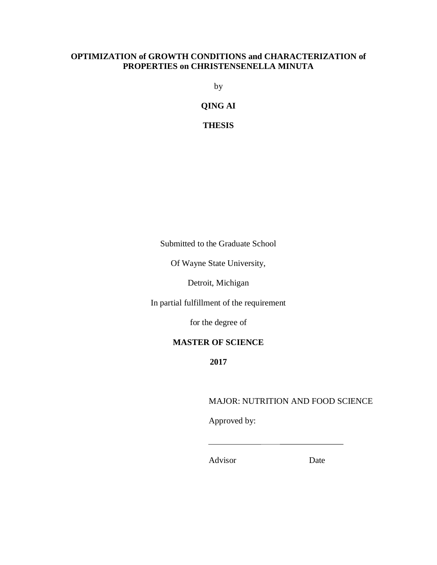# **OPTIMIZATION of GROWTH CONDITIONS and CHARACTERIZATION of PROPERTIES on CHRISTENSENELLA MINUTA**

by

**QING AI**

**THESIS**

Submitted to the Graduate School

Of Wayne State University,

Detroit, Michigan

In partial fulfillment of the requirement

for the degree of

# **MASTER OF SCIENCE**

**2017**

# MAJOR: NUTRITION AND FOOD SCIENCE

Approved by:

Advisor Date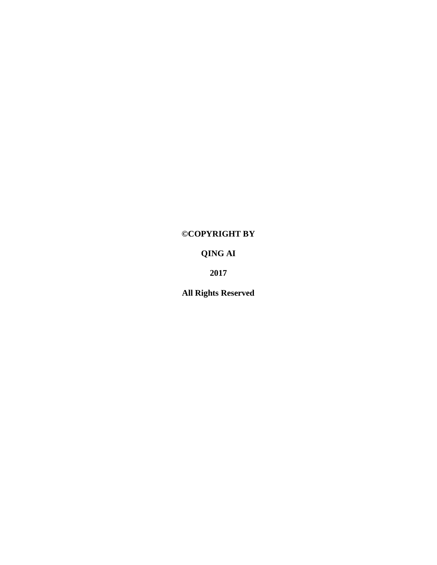# **©COPYRIGHT BY**

# **QING AI**

**2017**

**All Rights Reserved**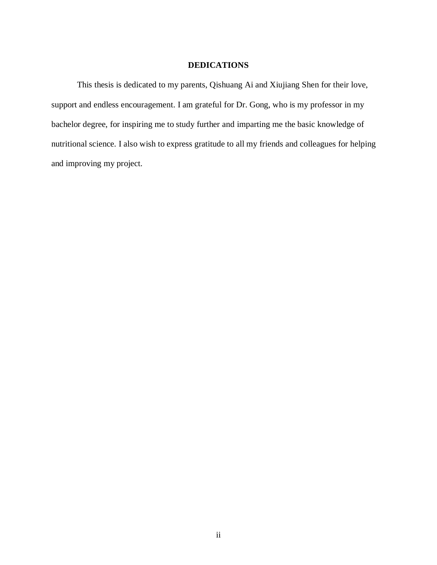# **DEDICATIONS**

This thesis is dedicated to my parents, Qishuang Ai and Xiujiang Shen for their love, support and endless encouragement. I am grateful for Dr. Gong, who is my professor in my bachelor degree, for inspiring me to study further and imparting me the basic knowledge of nutritional science. I also wish to express gratitude to all my friends and colleagues for helping and improving my project.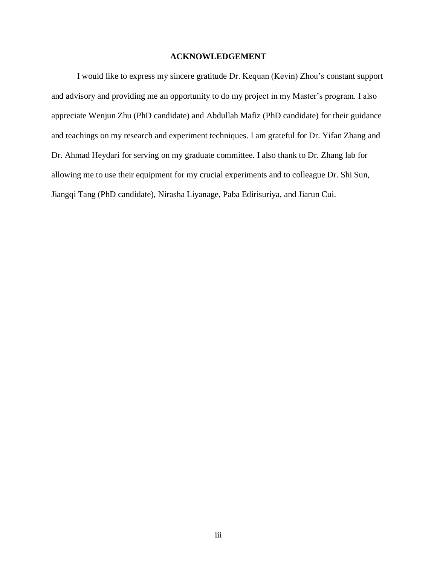## **ACKNOWLEDGEMENT**

I would like to express my sincere gratitude Dr. Kequan (Kevin) Zhou's constant support and advisory and providing me an opportunity to do my project in my Master's program. I also appreciate Wenjun Zhu (PhD candidate) and Abdullah Mafiz (PhD candidate) for their guidance and teachings on my research and experiment techniques. I am grateful for Dr. Yifan Zhang and Dr. Ahmad Heydari for serving on my graduate committee. I also thank to Dr. Zhang lab for allowing me to use their equipment for my crucial experiments and to colleague Dr. Shi Sun, Jiangqi Tang (PhD candidate), Nirasha Liyanage, Paba Edirisuriya, and Jiarun Cui.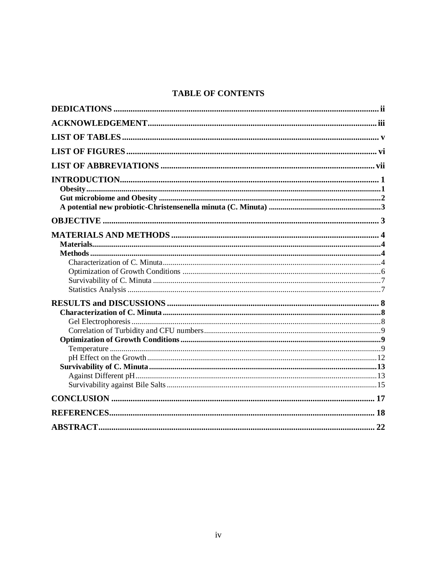# **TABLE OF CONTENTS**

| 22 |
|----|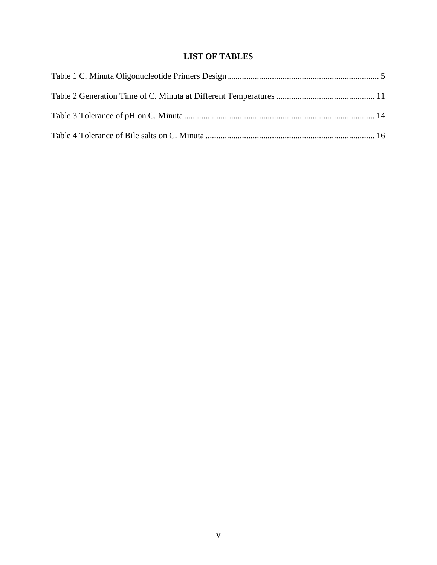# **LIST OF TABLES**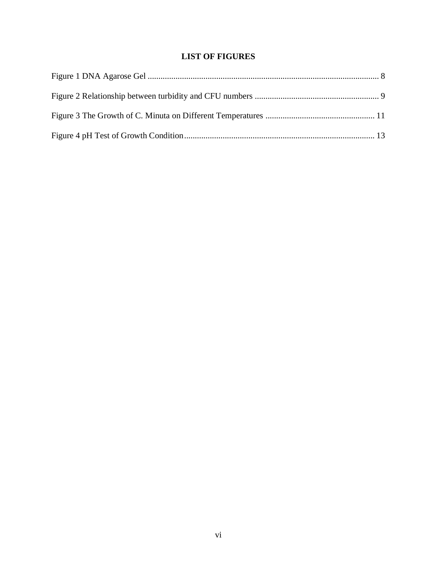# **LIST OF FIGURES**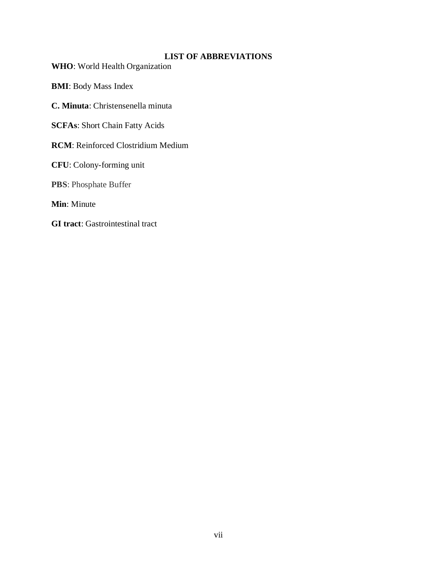# **LIST OF ABBREVIATIONS**

**WHO**: World Health Organization

**BMI**: Body Mass Index

**C. Minuta**: Christensenella minuta

**SCFAs**: Short Chain Fatty Acids

**RCM**: Reinforced Clostridium Medium

**CFU**: Colony-forming unit

**PBS**: Phosphate Buffer

**Min**: Minute

**GI tract**: Gastrointestinal tract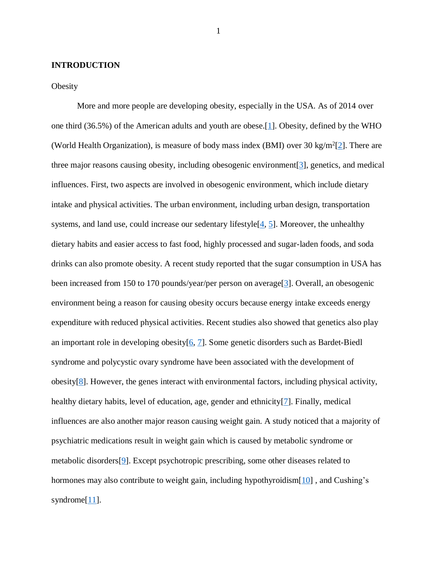#### **INTRODUCTION**

#### **Obesity**

More and more people are developing obesity, especially in the USA. As of 2014 over one third (36.5%) of the American adults and youth are obese.[\[1\]](#page-26-0). Obesity, defined by the WHO (World Health Organization), is measure of body mass index (BMI) over 30 kg/m<sup>2</sup>[\[2\]](#page-26-1). There are three major reasons causing obesity, including obesogenic environment[\[3\]](#page-26-2), genetics, and medical influences. First, two aspects are involved in obesogenic environment, which include dietary intake and physical activities. The urban environment, including urban design, transportation systems, and land use, could increase our sedentary lifestyle[\[4,](#page-26-3) [5\]](#page-26-4). Moreover, the unhealthy dietary habits and easier access to fast food, highly processed and sugar-laden foods, and soda drinks can also promote obesity. A recent study reported that the sugar consumption in USA has been increased from 150 to 170 pounds/year/per person on average[\[3\]](#page-26-2). Overall, an obesogenic environment being a reason for causing obesity occurs because energy intake exceeds energy expenditure with reduced physical activities. Recent studies also showed that genetics also play an important role in developing obesity[\[6,](#page-26-5) [7\]](#page-26-6). Some genetic disorders such as Bardet-Biedl syndrome and polycystic ovary syndrome have been associated with the development of obesity[\[8\]](#page-26-7). However, the genes interact with environmental factors, including physical activity, healthy dietary habits, level of education, age, gender and ethnicity[\[7\]](#page-26-6). Finally, medical influences are also another major reason causing weight gain. A study noticed that a majority of psychiatric medications result in weight gain which is caused by metabolic syndrome or metabolic disorders[\[9\]](#page-26-8). Except psychotropic prescribing, some other diseases related to hormones may also contribute to weight gain, including hypothyroidism [\[10\]](#page-26-9), and Cushing's syndrome<sup>[\[11\]](#page-27-0)</sup>.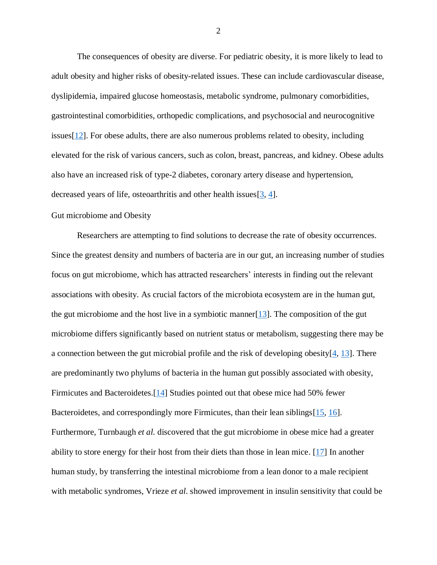The consequences of obesity are diverse. For pediatric obesity, it is more likely to lead to adult obesity and higher risks of obesity-related issues. These can include cardiovascular disease, dyslipidemia, impaired glucose homeostasis, metabolic syndrome, pulmonary comorbidities, gastrointestinal comorbidities, orthopedic complications, and psychosocial and neurocognitive issues[\[12\]](#page-27-1). For obese adults, there are also numerous problems related to obesity, including elevated for the risk of various cancers, such as colon, breast, pancreas, and kidney. Obese adults also have an increased risk of type-2 diabetes, coronary artery disease and hypertension, decreased years of life, osteoarthritis and other health issues  $[3, 4]$  $[3, 4]$ .

#### Gut microbiome and Obesity

Researchers are attempting to find solutions to decrease the rate of obesity occurrences. Since the greatest density and numbers of bacteria are in our gut, an increasing number of studies focus on gut microbiome, which has attracted researchers' interests in finding out the relevant associations with obesity. As crucial factors of the microbiota ecosystem are in the human gut, the gut microbiome and the host live in a symbiotic manner [\[13\]](#page-27-2). The composition of the gut microbiome differs significantly based on nutrient status or metabolism, suggesting there may be a connection between the gut microbial profile and the risk of developing obesity[\[4,](#page-26-3) [13\]](#page-27-2). There are predominantly two phylums of bacteria in the human gut possibly associated with obesity, Firmicutes and Bacteroidetes.[\[14\]](#page-27-3) Studies pointed out that obese mice had 50% fewer Bacteroidetes, and correspondingly more Firmicutes, than their lean siblings[\[15,](#page-27-4) [16\]](#page-27-5). Furthermore, Turnbaugh *et al.* discovered that the gut microbiome in obese mice had a greater ability to store energy for their host from their diets than those in lean mice.  $[17]$  In another human study, by transferring the intestinal microbiome from a lean donor to a male recipient with metabolic syndromes, Vrieze *et al*. showed improvement in insulin sensitivity that could be

2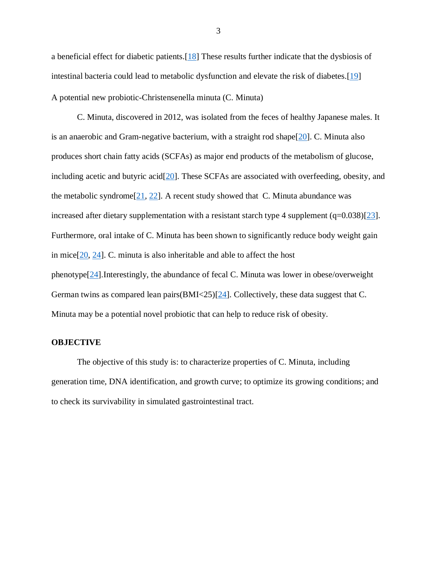a beneficial effect for diabetic patients.[\[18\]](#page-27-7) These results further indicate that the dysbiosis of intestinal bacteria could lead to metabolic dysfunction and elevate the risk of diabetes.[\[19\]](#page-27-8) A potential new probiotic-Christensenella minuta (C. Minuta)

C. Minuta, discovered in 2012, was isolated from the feces of healthy Japanese males. It is an anaerobic and Gram-negative bacterium, with a straight rod shape[\[20\]](#page-27-9). C. Minuta also produces short chain fatty acids (SCFAs) as major end products of the metabolism of glucose, including acetic and butyric acid[\[20\]](#page-27-9). These SCFAs are associated with overfeeding, obesity, and the metabolic syndrome<sup>[\[21,](#page-28-0) [22\]](#page-28-1)</sup>. A recent study showed that C. Minuta abundance was increased after dietary supplementation with a resistant starch type 4 supplement  $(q=0.038)[23]$  $(q=0.038)[23]$ . Furthermore, oral intake of C. Minuta has been shown to significantly reduce body weight gain in mice $[20, 24]$  $[20, 24]$ . C. minuta is also inheritable and able to affect the host phenotype[\[24\]](#page-28-3).Interestingly, the abundance of fecal C. Minuta was lower in obese/overweight German twins as compared lean pairs(BMI<25)[\[24\]](#page-28-3). Collectively, these data suggest that C. Minuta may be a potential novel probiotic that can help to reduce risk of obesity.

#### **OBJECTIVE**

The objective of this study is: to characterize properties of C. Minuta, including generation time, DNA identification, and growth curve; to optimize its growing conditions; and to check its survivability in simulated gastrointestinal tract.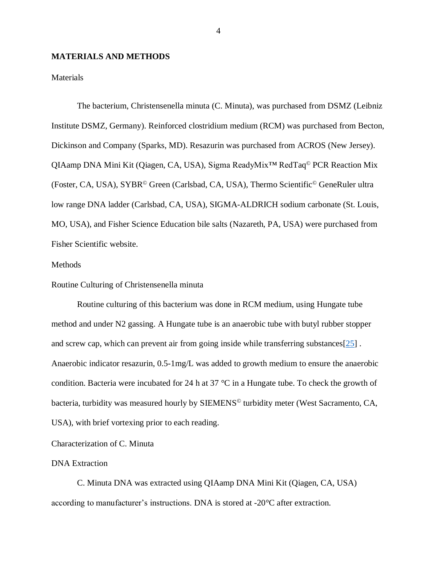#### **MATERIALS AND METHODS**

**Materials** 

The bacterium, Christensenella minuta (C. Minuta), was purchased from DSMZ (Leibniz Institute DSMZ, Germany). Reinforced clostridium medium (RCM) was purchased from Becton, Dickinson and Company (Sparks, MD). Resazurin was purchased from ACROS (New Jersey). QIAamp DNA Mini Kit (Qiagen, CA, USA), Sigma ReadyMix™ RedTaq© PCR Reaction Mix (Foster, CA, USA), SYBR© Green (Carlsbad, CA, USA), Thermo Scientific© GeneRuler ultra low range DNA ladder (Carlsbad, CA, USA), SIGMA-ALDRICH sodium carbonate (St. Louis, MO, USA), and Fisher Science Education bile salts (Nazareth, PA, USA) were purchased from Fisher Scientific website.

#### **Methods**

Routine Culturing of Christensenella minuta

Routine culturing of this bacterium was done in RCM medium, using Hungate tube method and under N2 gassing. A Hungate tube is an anaerobic tube with butyl rubber stopper and screw cap, which can prevent air from going inside while transferring substances[\[25\]](#page-28-4) . Anaerobic indicator resazurin, 0.5-1mg/L was added to growth medium to ensure the anaerobic condition. Bacteria were incubated for 24 h at 37 °C in a Hungate tube. To check the growth of bacteria, turbidity was measured hourly by SIEMENS<sup>®</sup> turbidity meter (West Sacramento, CA, USA), with brief vortexing prior to each reading.

Characterization of C. Minuta

## DNA Extraction

C. Minuta DNA was extracted using QIAamp DNA Mini Kit (Qiagen, CA, USA) according to manufacturer's instructions. DNA is stored at -20°C after extraction.

4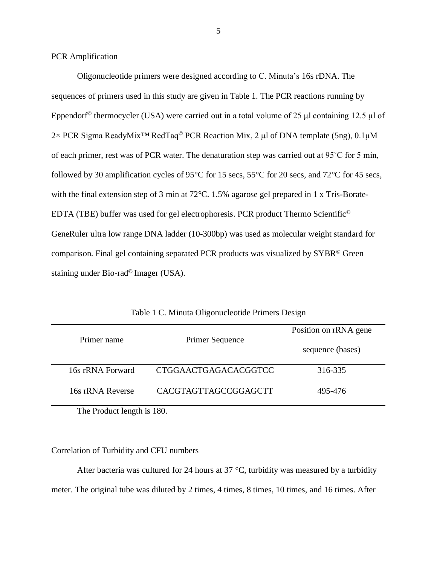PCR Amplification

Oligonucleotide primers were designed according to C. Minuta's 16s rDNA. The sequences of primers used in this study are given in Table 1. The PCR reactions running by Eppendorf© thermocycler (USA) were carried out in a total volume of 25 μl containing 12.5 μl of 2× PCR Sigma ReadyMix<sup>™</sup> RedTaq<sup>©</sup> PCR Reaction Mix, 2 μl of DNA template (5ng), 0.1μM of each primer, rest was of PCR water. The denaturation step was carried out at 95˚C for 5 min, followed by 30 amplification cycles of 95°C for 15 secs, 55°C for 20 secs, and 72°C for 45 secs, with the final extension step of 3 min at 72 °C. 1.5% agarose gel prepared in 1 x Tris-Borate-EDTA (TBE) buffer was used for gel electrophoresis. PCR product Thermo Scientific© GeneRuler ultra low range DNA ladder (10-300bp) was used as molecular weight standard for comparison. Final gel containing separated PCR products was visualized by SYBR© Green staining under Bio-rad© Imager (USA).

| Primer name |                        | Primer Sequence      | Position on rRNA gene |
|-------------|------------------------|----------------------|-----------------------|
|             |                        |                      | sequence (bases)      |
|             | 16s rRNA Forward       | CTGGAACTGAGACACGGTCC | 316-335               |
|             | 16s rRNA Reverse       | CACGTAGTTAGCCGGAGCTT | 495-476               |
|             | $\mathbf{R}$ 1.1.1.100 |                      |                       |

Table 1 C. Minuta Oligonucleotide Primers Design

The Product length is 180.

#### Correlation of Turbidity and CFU numbers

After bacteria was cultured for 24 hours at 37  $\degree$ C, turbidity was measured by a turbidity meter. The original tube was diluted by 2 times, 4 times, 8 times, 10 times, and 16 times. After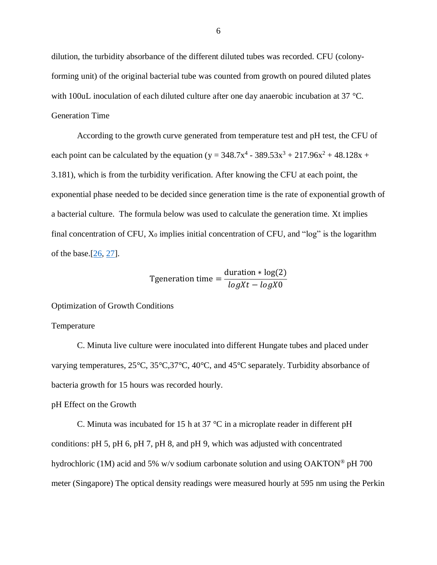dilution, the turbidity absorbance of the different diluted tubes was recorded. CFU (colonyforming unit) of the original bacterial tube was counted from growth on poured diluted plates with 100uL inoculation of each diluted culture after one day anaerobic incubation at 37 °C. Generation Time

According to the growth curve generated from temperature test and pH test, the CFU of each point can be calculated by the equation ( $y = 348.7x^4 - 389.53x^3 + 217.96x^2 + 48.128x +$ 3.181), which is from the turbidity verification. After knowing the CFU at each point, the exponential phase needed to be decided since generation time is the rate of exponential growth of a bacterial culture. The formula below was used to calculate the generation time. Xt implies final concentration of CFU,  $X_0$  implies initial concentration of CFU, and "log" is the logarithm of the base. $[26, 27]$  $[26, 27]$ .

Tgeneration time = 
$$
\frac{\text{duration} * \log(2)}{\log Xt - \log X0}
$$

Optimization of Growth Conditions

#### Temperature

C. Minuta live culture were inoculated into different Hungate tubes and placed under varying temperatures, 25°C, 35°C,37°C, 40°C, and 45°C separately. Turbidity absorbance of bacteria growth for 15 hours was recorded hourly.

pH Effect on the Growth

C. Minuta was incubated for 15 h at 37  $\degree$ C in a microplate reader in different pH conditions: pH 5, pH 6, pH 7, pH 8, and pH 9, which was adjusted with concentrated hydrochloric (1M) acid and 5% w/v sodium carbonate solution and using  $OAKTON^{\circ}$  pH 700 meter (Singapore) The optical density readings were measured hourly at 595 nm using the Perkin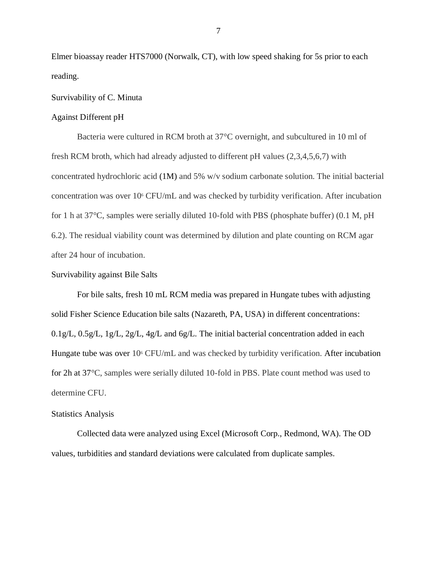Elmer bioassay reader HTS7000 (Norwalk, CT), with low speed shaking for 5s prior to each reading.

#### Survivability of C. Minuta

#### Against Different pH

Bacteria were cultured in RCM broth at 37°C overnight, and subcultured in 10 ml of fresh RCM broth, which had already adjusted to different pH values (2,3,4,5,6,7) with concentrated hydrochloric acid (1M) and 5% w/v sodium carbonate solution. The initial bacterial concentration was over 10<sup>6</sup> CFU/mL and was checked by turbidity verification. After incubation for 1 h at 37°C, samples were serially diluted 10-fold with PBS (phosphate buffer) (0.1 M, pH 6.2). The residual viability count was determined by dilution and plate counting on RCM agar after 24 hour of incubation.

## Survivability against Bile Salts

For bile salts, fresh 10 mL RCM media was prepared in Hungate tubes with adjusting solid Fisher Science Education bile salts (Nazareth, PA, USA) in different concentrations:  $0.1$ g/L,  $0.5$ g/L,  $1$ g/L,  $2$ g/L,  $4$ g/L and  $6$ g/L. The initial bacterial concentration added in each Hungate tube was over  $10^6$  CFU/mL and was checked by turbidity verification. After incubation for 2h at 37°C, samples were serially diluted 10-fold in PBS. Plate count method was used to determine CFU.

#### Statistics Analysis

Collected data were analyzed using Excel (Microsoft Corp., Redmond, WA). The OD values, turbidities and standard deviations were calculated from duplicate samples.

7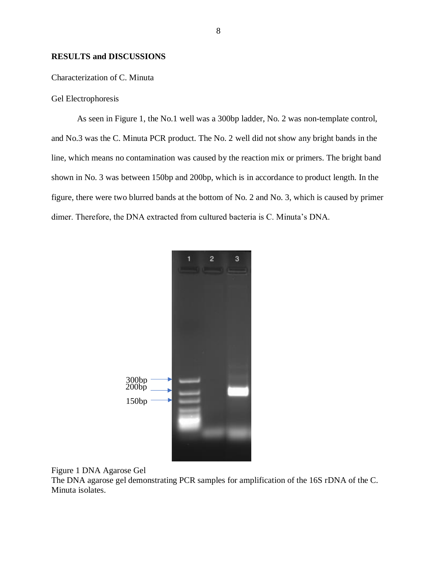#### **RESULTS and DISCUSSIONS**

#### Characterization of C. Minuta

## Gel Electrophoresis

As seen in Figure 1, the No.1 well was a 300bp ladder, No. 2 was non-template control, and No.3 was the C. Minuta PCR product. The No. 2 well did not show any bright bands in the line, which means no contamination was caused by the reaction mix or primers. The bright band shown in No. 3 was between 150bp and 200bp, which is in accordance to product length. In the figure, there were two blurred bands at the bottom of No. 2 and No. 3, which is caused by primer dimer. Therefore, the DNA extracted from cultured bacteria is C. Minuta's DNA.





The DNA agarose gel demonstrating PCR samples for amplification of the 16S rDNA of the C. Minuta isolates.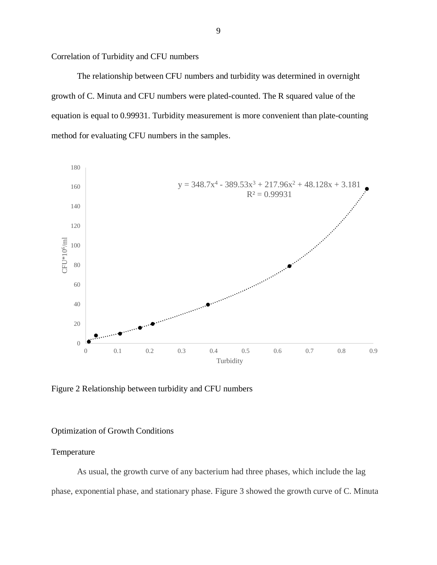Correlation of Turbidity and CFU numbers

The relationship between CFU numbers and turbidity was determined in overnight growth of C. Minuta and CFU numbers were plated-counted. The R squared value of the equation is equal to 0.99931. Turbidity measurement is more convenient than plate-counting method for evaluating CFU numbers in the samples.



Figure 2 Relationship between turbidity and CFU numbers

#### Optimization of Growth Conditions

#### Temperature

As usual, the growth curve of any bacterium had three phases, which include the lag phase, exponential phase, and stationary phase. Figure 3 showed the growth curve of C. Minuta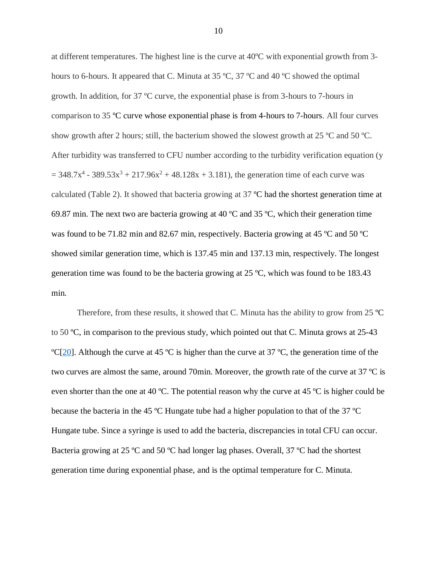at different temperatures. The highest line is the curve at 40ºC with exponential growth from 3 hours to 6-hours. It appeared that C. Minuta at 35 °C, 37 °C and 40 °C showed the optimal growth. In addition, for 37 ºC curve, the exponential phase is from 3-hours to 7-hours in comparison to 35 ºC curve whose exponential phase is from 4-hours to 7-hours. All four curves show growth after 2 hours; still, the bacterium showed the slowest growth at 25  $^{\circ}$ C and 50  $^{\circ}$ C. After turbidity was transferred to CFU number according to the turbidity verification equation (y  $= 348.7x^{4} - 389.53x^{3} + 217.96x^{2} + 48.128x + 3.181$ , the generation time of each curve was calculated (Table 2). It showed that bacteria growing at 37 ºC had the shortest generation time at 69.87 min. The next two are bacteria growing at 40  $^{\circ}$ C and 35  $^{\circ}$ C, which their generation time was found to be 71.82 min and 82.67 min, respectively. Bacteria growing at 45 ºC and 50 ºC showed similar generation time, which is 137.45 min and 137.13 min, respectively. The longest generation time was found to be the bacteria growing at 25 ºC, which was found to be 183.43 min.

Therefore, from these results, it showed that C. Minuta has the ability to grow from 25 ºC to 50 ºC, in comparison to the previous study, which pointed out that C. Minuta grows at 25-43  $\text{°C}[20]$  $\text{°C}[20]$ . Although the curve at 45 °C is higher than the curve at 37 °C, the generation time of the two curves are almost the same, around 70min. Moreover, the growth rate of the curve at 37 ºC is even shorter than the one at 40 ºC. The potential reason why the curve at 45 ºC is higher could be because the bacteria in the 45 ºC Hungate tube had a higher population to that of the 37 ºC Hungate tube. Since a syringe is used to add the bacteria, discrepancies in total CFU can occur. Bacteria growing at 25 ºC and 50 ºC had longer lag phases. Overall, 37 ºC had the shortest generation time during exponential phase, and is the optimal temperature for C. Minuta.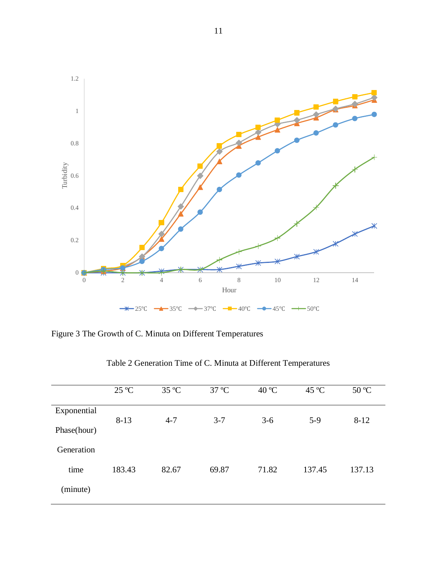

Figure 3 The Growth of C. Minuta on Different Temperatures

|             | $25^{\circ}C$ | 35 °C   | 37 °C   | 40 °C | $45^{\circ}$ C | 50 °C    |
|-------------|---------------|---------|---------|-------|----------------|----------|
| Exponential |               |         |         |       |                |          |
|             | $8 - 13$      | $4 - 7$ | $3 - 7$ | $3-6$ | $5-9$          | $8 - 12$ |
| Phase(hour) |               |         |         |       |                |          |
| Generation  |               |         |         |       |                |          |
| time        | 183.43        | 82.67   | 69.87   | 71.82 | 137.45         | 137.13   |
| (minute)    |               |         |         |       |                |          |

Table 2 Generation Time of C. Minuta at Different Temperatures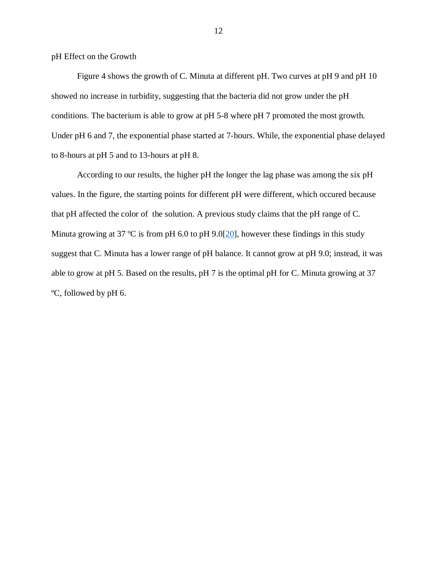pH Effect on the Growth

Figure 4 shows the growth of C. Minuta at different pH. Two curves at pH 9 and pH 10 showed no increase in turbidity, suggesting that the bacteria did not grow under the pH conditions. The bacterium is able to grow at pH 5-8 where pH 7 promoted the most growth. Under pH 6 and 7, the exponential phase started at 7-hours. While, the exponential phase delayed to 8-hours at pH 5 and to 13-hours at pH 8.

According to our results, the higher pH the longer the lag phase was among the six pH values. In the figure, the starting points for different pH were different, which occured because that pH affected the color of the solution. A previous study claims that the pH range of C. Minuta growing at 37 °C is from pH 6.0 to pH 9.0[\[20\]](#page-27-9), however these findings in this study suggest that C. Minuta has a lower range of pH balance. It cannot grow at pH 9.0; instead, it was able to grow at pH 5. Based on the results, pH 7 is the optimal pH for C. Minuta growing at 37 ºC, followed by pH 6.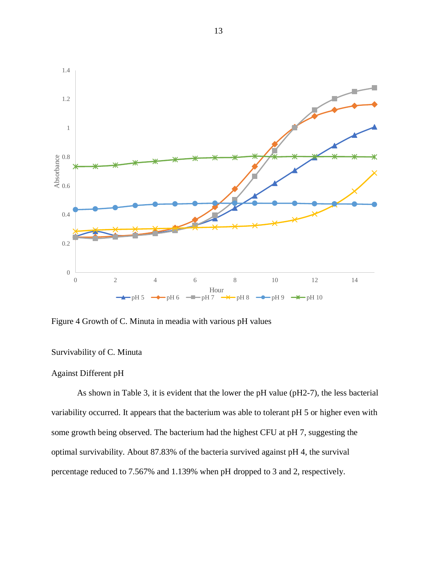

Figure 4 Growth of C. Minuta in meadia with various pH values

# Survivability of C. Minuta

#### Against Different pH

As shown in Table 3, it is evident that the lower the pH value (pH2-7), the less bacterial variability occurred. It appears that the bacterium was able to tolerant pH 5 or higher even with some growth being observed. The bacterium had the highest CFU at pH 7, suggesting the optimal survivability. About 87.83% of the bacteria survived against pH 4, the survival percentage reduced to 7.567% and 1.139% when pH dropped to 3 and 2, respectively.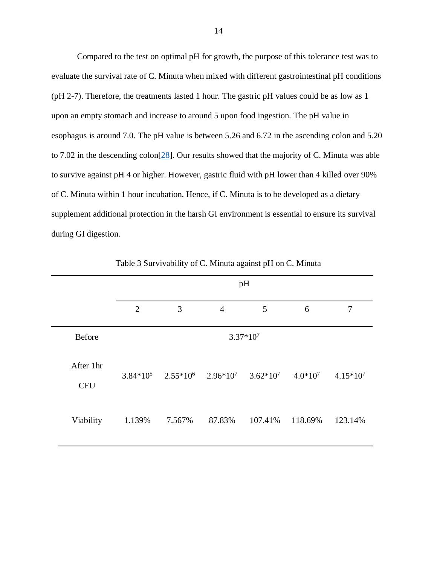Compared to the test on optimal pH for growth, the purpose of this tolerance test was to evaluate the survival rate of C. Minuta when mixed with different gastrointestinal pH conditions (pH 2-7). Therefore, the treatments lasted 1 hour. The gastric pH values could be as low as 1 upon an empty stomach and increase to around 5 upon food ingestion. The pH value in esophagus is around 7.0. The pH value is between 5.26 and 6.72 in the ascending colon and 5.20 to 7.02 in the descending colon<sup>[\[28\]](#page-28-7)</sup>. Our results showed that the majority of C. Minuta was able to survive against pH 4 or higher. However, gastric fluid with pH lower than 4 killed over 90% of C. Minuta within 1 hour incubation. Hence, if C. Minuta is to be developed as a dietary supplement additional protection in the harsh GI environment is essential to ensure its survival during GI digestion.

|                         | pH             |            |                                                            |         |         |             |
|-------------------------|----------------|------------|------------------------------------------------------------|---------|---------|-------------|
|                         | $\overline{2}$ | 3          | $\overline{4}$                                             | 5       | 6       | 7           |
| Before                  |                | $3.37*107$ |                                                            |         |         |             |
| After 1hr<br><b>CFU</b> |                |            | $3.84*10^5$ $2.55*10^6$ $2.96*10^7$ $3.62*10^7$ $4.0*10^7$ |         |         | $4.15*10^7$ |
| Viability               | 1.139%         | 7.567%     | 87.83%                                                     | 107.41% | 118.69% | 123.14%     |

Table 3 Survivability of C. Minuta against pH on C. Minuta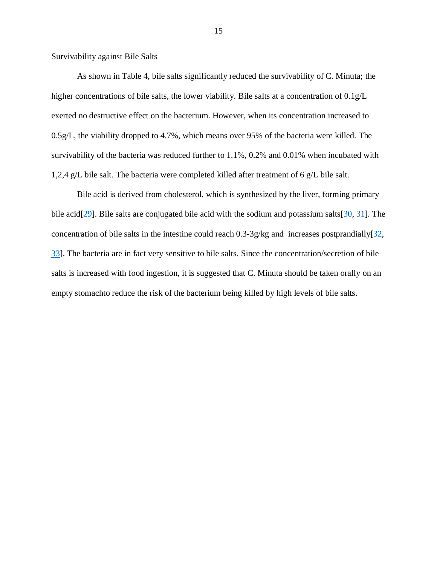Survivability against Bile Salts

As shown in Table 4, bile salts significantly reduced the survivability of C. Minuta; the higher concentrations of bile salts, the lower viability. Bile salts at a concentration of 0.1g/L exerted no destructive effect on the bacterium. However, when its concentration increased to 0.5g/L, the viability dropped to 4.7%, which means over 95% of the bacteria were killed. The survivability of the bacteria was reduced further to 1.1%, 0.2% and 0.01% when incubated with 1,2,4 g/L bile salt. The bacteria were completed killed after treatment of 6 g/L bile salt.

Bile acid is derived from cholesterol, which is synthesized by the liver, forming primary bile acid<sup>[\[29\]](#page-28-8)</sup>. Bile salts are conjugated bile acid with the sodium and potassium salts<sup>[\[30,](#page-28-9) [31\]](#page-28-10)</sup>. The concentration of bile salts in the intestine could reach  $0.3$ -3g/kg and increases postprandially[\[32,](#page-29-0) [33\]](#page-29-1). The bacteria are in fact very sensitive to bile salts. Since the concentration/secretion of bile salts is increased with food ingestion, it is suggested that C. Minuta should be taken orally on an empty stomachto reduce the risk of the bacterium being killed by high levels of bile salts.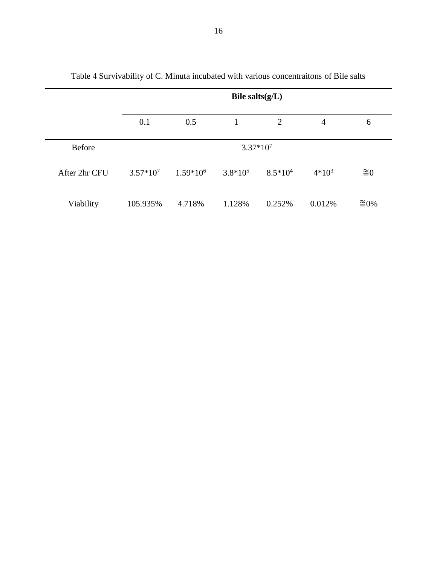|               |             | Bile salts $(g/L)$ |              |           |                |                         |
|---------------|-------------|--------------------|--------------|-----------|----------------|-------------------------|
|               | 0.1         | 0.5                | $\mathbf{1}$ | 2         | $\overline{4}$ | 6                       |
| <b>Before</b> |             |                    | $3.37*10^7$  |           |                |                         |
| After 2hr CFU | $3.57*10^7$ | $1.59*10^{6}$      | $3.8*105$    | $8.5*104$ | $4*10^3$       | $\cong 0$               |
| Viability     | 105.935%    | 4.718%             | 1.128%       | 0.252%    | 0.012%         | $\widetilde{\equiv}0\%$ |

Table 4 Survivability of C. Minuta incubated with various concentraitons of Bile salts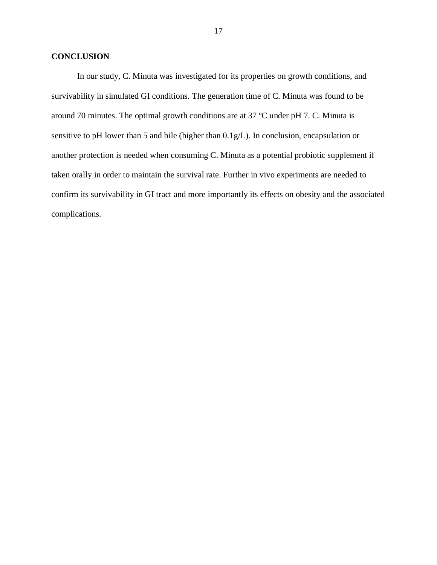## **CONCLUSION**

In our study, C. Minuta was investigated for its properties on growth conditions, and survivability in simulated GI conditions. The generation time of C. Minuta was found to be around 70 minutes. The optimal growth conditions are at 37 ºC under pH 7. C. Minuta is sensitive to pH lower than 5 and bile (higher than 0.1g/L). In conclusion, encapsulation or another protection is needed when consuming C. Minuta as a potential probiotic supplement if taken orally in order to maintain the survival rate. Further in vivo experiments are needed to confirm its survivability in GI tract and more importantly its effects on obesity and the associated complications.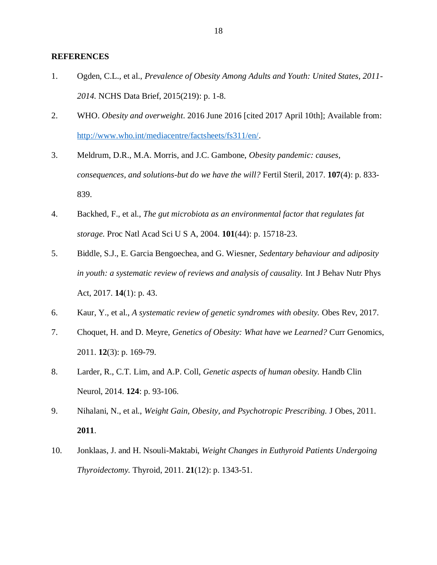#### **REFERENCES**

- <span id="page-26-0"></span>1. Ogden, C.L., et al., *Prevalence of Obesity Among Adults and Youth: United States, 2011- 2014.* NCHS Data Brief, 2015(219): p. 1-8.
- <span id="page-26-1"></span>2. WHO. *Obesity and overweight*. 2016 June 2016 [cited 2017 April 10th]; Available from: [http://www.who.int/mediacentre/factsheets/fs311/en/.](http://www.who.int/mediacentre/factsheets/fs311/en/)
- <span id="page-26-2"></span>3. Meldrum, D.R., M.A. Morris, and J.C. Gambone, *Obesity pandemic: causes, consequences, and solutions-but do we have the will?* Fertil Steril, 2017. **107**(4): p. 833- 839.
- <span id="page-26-3"></span>4. Backhed, F., et al., *The gut microbiota as an environmental factor that regulates fat storage.* Proc Natl Acad Sci U S A, 2004. **101**(44): p. 15718-23.
- <span id="page-26-4"></span>5. Biddle, S.J., E. Garcia Bengoechea, and G. Wiesner, *Sedentary behaviour and adiposity in youth: a systematic review of reviews and analysis of causality.* Int J Behav Nutr Phys Act, 2017. **14**(1): p. 43.
- <span id="page-26-5"></span>6. Kaur, Y., et al., *A systematic review of genetic syndromes with obesity.* Obes Rev, 2017.
- <span id="page-26-6"></span>7. Choquet, H. and D. Meyre, *Genetics of Obesity: What have we Learned?* Curr Genomics, 2011. **12**(3): p. 169-79.
- <span id="page-26-7"></span>8. Larder, R., C.T. Lim, and A.P. Coll, *Genetic aspects of human obesity.* Handb Clin Neurol, 2014. **124**: p. 93-106.
- <span id="page-26-8"></span>9. Nihalani, N., et al., *Weight Gain, Obesity, and Psychotropic Prescribing.* J Obes, 2011. **2011**.
- <span id="page-26-9"></span>10. Jonklaas, J. and H. Nsouli-Maktabi, *Weight Changes in Euthyroid Patients Undergoing Thyroidectomy.* Thyroid, 2011. **21**(12): p. 1343-51.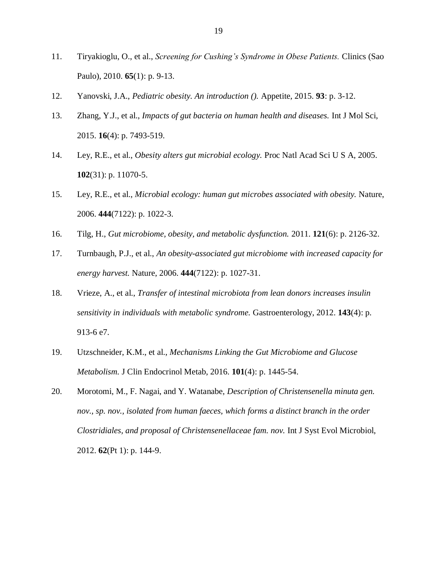- <span id="page-27-0"></span>11. Tiryakioglu, O., et al., *Screening for Cushing's Syndrome in Obese Patients.* Clinics (Sao Paulo), 2010. **65**(1): p. 9-13.
- <span id="page-27-1"></span>12. Yanovski, J.A., *Pediatric obesity. An introduction ().* Appetite, 2015. **93**: p. 3-12.
- <span id="page-27-2"></span>13. Zhang, Y.J., et al., *Impacts of gut bacteria on human health and diseases.* Int J Mol Sci, 2015. **16**(4): p. 7493-519.
- <span id="page-27-3"></span>14. Ley, R.E., et al., *Obesity alters gut microbial ecology.* Proc Natl Acad Sci U S A, 2005. **102**(31): p. 11070-5.
- <span id="page-27-4"></span>15. Ley, R.E., et al., *Microbial ecology: human gut microbes associated with obesity.* Nature, 2006. **444**(7122): p. 1022-3.
- <span id="page-27-5"></span>16. Tilg, H., *Gut microbiome, obesity, and metabolic dysfunction.* 2011. **121**(6): p. 2126-32.
- <span id="page-27-6"></span>17. Turnbaugh, P.J., et al., *An obesity-associated gut microbiome with increased capacity for energy harvest.* Nature, 2006. **444**(7122): p. 1027-31.
- <span id="page-27-7"></span>18. Vrieze, A., et al., *Transfer of intestinal microbiota from lean donors increases insulin sensitivity in individuals with metabolic syndrome.* Gastroenterology, 2012. **143**(4): p. 913-6 e7.
- <span id="page-27-8"></span>19. Utzschneider, K.M., et al., *Mechanisms Linking the Gut Microbiome and Glucose Metabolism.* J Clin Endocrinol Metab, 2016. **101**(4): p. 1445-54.
- <span id="page-27-9"></span>20. Morotomi, M., F. Nagai, and Y. Watanabe, *Description of Christensenella minuta gen. nov., sp. nov., isolated from human faeces, which forms a distinct branch in the order Clostridiales, and proposal of Christensenellaceae fam. nov.* Int J Syst Evol Microbiol, 2012. **62**(Pt 1): p. 144-9.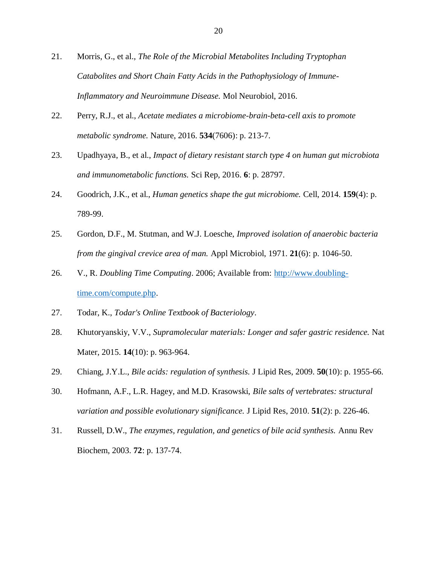- <span id="page-28-0"></span>21. Morris, G., et al., *The Role of the Microbial Metabolites Including Tryptophan Catabolites and Short Chain Fatty Acids in the Pathophysiology of Immune-Inflammatory and Neuroimmune Disease.* Mol Neurobiol, 2016.
- <span id="page-28-1"></span>22. Perry, R.J., et al., *Acetate mediates a microbiome-brain-beta-cell axis to promote metabolic syndrome.* Nature, 2016. **534**(7606): p. 213-7.
- <span id="page-28-2"></span>23. Upadhyaya, B., et al., *Impact of dietary resistant starch type 4 on human gut microbiota and immunometabolic functions.* Sci Rep, 2016. **6**: p. 28797.
- <span id="page-28-3"></span>24. Goodrich, J.K., et al., *Human genetics shape the gut microbiome.* Cell, 2014. **159**(4): p. 789-99.
- <span id="page-28-4"></span>25. Gordon, D.F., M. Stutman, and W.J. Loesche, *Improved isolation of anaerobic bacteria from the gingival crevice area of man.* Appl Microbiol, 1971. **21**(6): p. 1046-50.
- <span id="page-28-5"></span>26. V., R. *Doubling Time Computing*. 2006; Available from: [http://www.doubling](http://www.doubling-time.com/compute.php)[time.com/compute.php.](http://www.doubling-time.com/compute.php)
- <span id="page-28-6"></span>27. Todar, K., *Todar's Online Textbook of Bacteriology*.
- <span id="page-28-7"></span>28. Khutoryanskiy, V.V., *Supramolecular materials: Longer and safer gastric residence.* Nat Mater, 2015. **14**(10): p. 963-964.
- <span id="page-28-8"></span>29. Chiang, J.Y.L., *Bile acids: regulation of synthesis.* J Lipid Res, 2009. **50**(10): p. 1955-66.
- <span id="page-28-9"></span>30. Hofmann, A.F., L.R. Hagey, and M.D. Krasowski, *Bile salts of vertebrates: structural variation and possible evolutionary significance.* J Lipid Res, 2010. **51**(2): p. 226-46.
- <span id="page-28-10"></span>31. Russell, D.W., *The enzymes, regulation, and genetics of bile acid synthesis.* Annu Rev Biochem, 2003. **72**: p. 137-74.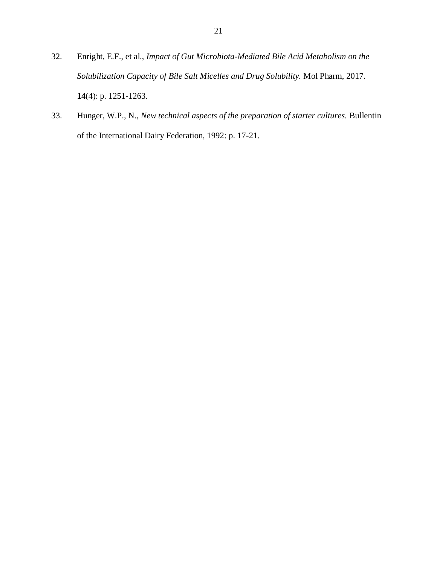- <span id="page-29-0"></span>32. Enright, E.F., et al., *Impact of Gut Microbiota-Mediated Bile Acid Metabolism on the Solubilization Capacity of Bile Salt Micelles and Drug Solubility.* Mol Pharm, 2017. **14**(4): p. 1251-1263.
- <span id="page-29-1"></span>33. Hunger, W.P., N., *New technical aspects of the preparation of starter cultures.* Bullentin of the International Dairy Federation, 1992: p. 17-21.